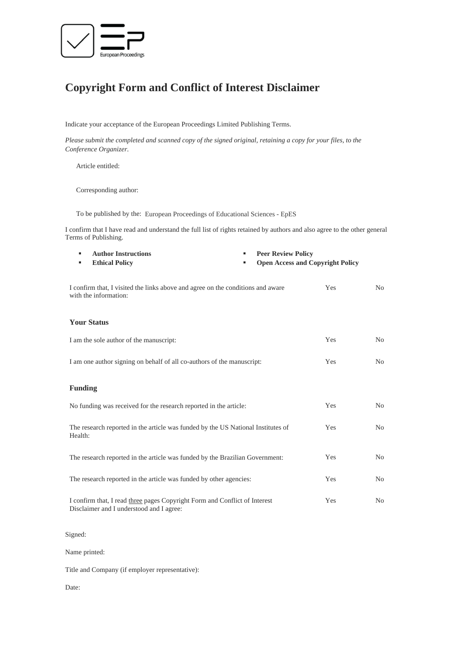

# **Copyright Form and Conflict of Interest Disclaimer**

Indicate your acceptance of the European Proceedings Limited Publishing Terms.

*Please submit the completed and scanned copy of the signed original, retaining a copy for your files, to the Conference Organizer.* 

Article entitled:

Corresponding author:

To be published by the: European Proceedings of Educational Sciences - EpES

I confirm that I have read and understand the full list of rights retained by authors and also agree to the other general Terms of Publishing.

| <b>Author Instructions</b><br>٠                                                                                        | <b>Peer Review Policy</b><br>٠ |                                         |                |
|------------------------------------------------------------------------------------------------------------------------|--------------------------------|-----------------------------------------|----------------|
| <b>Ethical Policy</b>                                                                                                  |                                | <b>Open Access and Copyright Policy</b> |                |
| I confirm that, I visited the links above and agree on the conditions and aware<br>with the information:               |                                | Yes                                     | N <sub>0</sub> |
| <b>Your Status</b>                                                                                                     |                                |                                         |                |
| I am the sole author of the manuscript:                                                                                | Yes                            | N <sub>0</sub>                          |                |
| I am one author signing on behalf of all co-authors of the manuscript:                                                 | Yes                            | N <sub>0</sub>                          |                |
| <b>Funding</b>                                                                                                         |                                |                                         |                |
| No funding was received for the research reported in the article:                                                      | Yes                            | N <sub>0</sub>                          |                |
| The research reported in the article was funded by the US National Institutes of<br>Health:                            | Yes                            | N <sub>o</sub>                          |                |
| The research reported in the article was funded by the Brazilian Government:                                           | Yes                            | N <sub>o</sub>                          |                |
| The research reported in the article was funded by other agencies:                                                     | Yes                            | N <sub>o</sub>                          |                |
| I confirm that, I read three pages Copyright Form and Conflict of Interest<br>Disclaimer and I understood and I agree: | Yes                            | N <sub>0</sub>                          |                |

Signed:

Name printed:

Title and Company (if employer representative):

Date: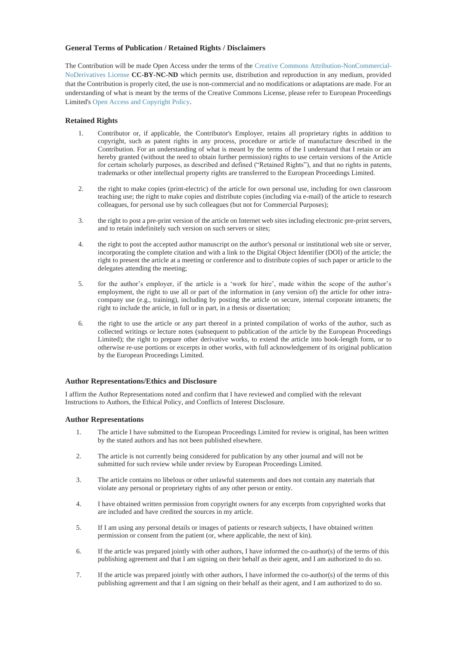# **General Terms of Publication / Retained Rights / Disclaimers**

The Contribution will be made Open Access under the terms of the [Creative Commons Attribution-NonCommercial-](https://creativecommons.org/licenses/by-nc-nd/4.0/)[NoDerivatives License](https://creativecommons.org/licenses/by-nc-nd/4.0/) **CC-BY-NC-ND** which permits use, distribution and reproduction in any medium, provided that the Contribution is properly cited, the use is non-commercial and no modifications or adaptations are made. For an understanding of what is meant by the terms of the Creative Commons License, please refer to European Proceedings Limited's Open Access and Copyright Policy.

## **Retained Rights**

- 1. Contributor or, if applicable, the Contributor's Employer, retains all proprietary rights in addition to copyright, such as patent rights in any process, procedure or article of manufacture described in the Contribution. For an understanding of what is meant by the terms of the I understand that I retain or am hereby granted (without the need to obtain further permission) rights to use certain versions of the Article for certain scholarly purposes, as described and defined ("Retained Rights"), and that no rights in patents, trademarks or other intellectual property rights are transferred to the European Proceedings Limited.
- 2. the right to make copies (print-electric) of the article for own personal use, including for own classroom teaching use; the right to make copies and distribute copies (including via e-mail) of the article to research colleagues, for personal use by such colleagues (but not for Commercial Purposes);
- 3. the right to post a pre-print version of the article on Internet web sites including electronic pre-print servers, and to retain indefinitely such version on such servers or sites;
- 4. the right to post the accepted author manuscript on the author's personal or institutional web site or server, incorporating the complete citation and with a link to the Digital Object Identifier (DOI) of the article; the right to present the article at a meeting or conference and to distribute copies of such paper or article to the delegates attending the meeting;
- 5. for the author's employer, if the article is a 'work for hire', made within the scope of the author's employment, the right to use all or part of the information in (any version of) the article for other intracompany use (e.g., training), including by posting the article on secure, internal corporate intranets; the right to include the article, in full or in part, in a thesis or dissertation;
- 6. the right to use the article or any part thereof in a printed compilation of works of the author, such as collected writings or lecture notes (subsequent to publication of the article by the European Proceedings Limited); the right to prepare other derivative works, to extend the article into book-length form, or to otherwise re-use portions or excerpts in other works, with full acknowledgement of its original publication by the European Proceedings Limited.

### **Author Representations/Ethics and Disclosure**

I affirm the Author Representations noted and confirm that I have reviewed and complied with the relevant Instructions to Authors, the Ethical Policy, and Conflicts of Interest Disclosure.

### **Author Representations**

- 1. The article I have submitted to the European Proceedings Limited for review is original, has been written by the stated authors and has not been published elsewhere.
- 2. The article is not currently being considered for publication by any other journal and will not be submitted for such review while under review by European Proceedings Limited.
- 3. The article contains no libelous or other unlawful statements and does not contain any materials that violate any personal or proprietary rights of any other person or entity.
- 4. I have obtained written permission from copyright owners for any excerpts from copyrighted works that are included and have credited the sources in my article.
- 5. If I am using any personal details or images of patients or research subjects, I have obtained written permission or consent from the patient (or, where applicable, the next of kin).
- 6. If the article was prepared jointly with other authors, I have informed the co-author(s) of the terms of this publishing agreement and that I am signing on their behalf as their agent, and I am authorized to do so.
- 7. If the article was prepared jointly with other authors, I have informed the co-author(s) of the terms of this publishing agreement and that I am signing on their behalf as their agent, and I am authorized to do so.